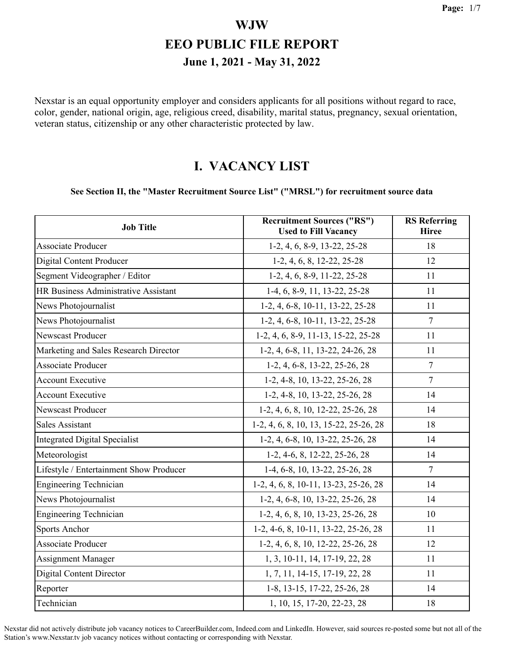Nexstar is an equal opportunity employer and considers applicants for all positions without regard to race, color, gender, national origin, age, religious creed, disability, marital status, pregnancy, sexual orientation, veteran status, citizenship or any other characteristic protected by law.

#### **I. VACANCY LIST**

#### **See Section II, the "Master Recruitment Source List" ("MRSL") for recruitment source data**

| <b>Job Title</b>                        | <b>Recruitment Sources ("RS")</b><br><b>Used to Fill Vacancy</b> | <b>RS</b> Referring<br><b>Hiree</b> |
|-----------------------------------------|------------------------------------------------------------------|-------------------------------------|
| <b>Associate Producer</b>               | 1-2, 4, 6, 8-9, 13-22, 25-28                                     | 18                                  |
| <b>Digital Content Producer</b>         | $1-2, 4, 6, 8, 12-22, 25-28$                                     | 12                                  |
| Segment Videographer / Editor           | 1-2, 4, 6, 8-9, 11-22, 25-28                                     | 11                                  |
| HR Business Administrative Assistant    | 1-4, 6, 8-9, 11, 13-22, 25-28                                    | 11                                  |
| News Photojournalist                    | 1-2, 4, 6-8, 10-11, 13-22, 25-28                                 | 11                                  |
| News Photojournalist                    | 1-2, 4, 6-8, 10-11, 13-22, 25-28                                 | $\tau$                              |
| Newscast Producer                       | 1-2, 4, 6, 8-9, 11-13, 15-22, 25-28                              | 11                                  |
| Marketing and Sales Research Director   | 1-2, 4, 6-8, 11, 13-22, 24-26, 28                                | 11                                  |
| <b>Associate Producer</b>               | $1-2, 4, 6-8, 13-22, 25-26, 28$                                  | 7                                   |
| <b>Account Executive</b>                | 1-2, 4-8, 10, 13-22, 25-26, 28                                   | $\overline{7}$                      |
| <b>Account Executive</b>                | 1-2, 4-8, 10, 13-22, 25-26, 28                                   | 14                                  |
| <b>Newscast Producer</b>                | 1-2, 4, 6, 8, 10, 12-22, 25-26, 28                               | 14                                  |
| <b>Sales Assistant</b>                  | 1-2, 4, 6, 8, 10, 13, 15-22, 25-26, 28                           | 18                                  |
| <b>Integrated Digital Specialist</b>    | 1-2, 4, 6-8, 10, 13-22, 25-26, 28                                | 14                                  |
| Meteorologist                           | $1-2, 4-6, 8, 12-22, 25-26, 28$                                  | 14                                  |
| Lifestyle / Entertainment Show Producer | 1-4, 6-8, 10, 13-22, 25-26, 28                                   | $\overline{7}$                      |
| <b>Engineering Technician</b>           | 1-2, 4, 6, 8, 10-11, 13-23, 25-26, 28                            | 14                                  |
| News Photojournalist                    | 1-2, 4, 6-8, 10, 13-22, 25-26, 28                                | 14                                  |
| <b>Engineering Technician</b>           | 1-2, 4, 6, 8, 10, 13-23, 25-26, 28                               | 10                                  |
| Sports Anchor                           | 1-2, 4-6, 8, 10-11, 13-22, 25-26, 28                             | 11                                  |
| <b>Associate Producer</b>               | 1-2, 4, 6, 8, 10, 12-22, 25-26, 28                               | 12                                  |
| <b>Assignment Manager</b>               | 1, 3, 10-11, 14, 17-19, 22, 28                                   | 11                                  |
| <b>Digital Content Director</b>         | 1, 7, 11, 14-15, 17-19, 22, 28                                   | 11                                  |
| Reporter                                | 1-8, 13-15, 17-22, 25-26, 28                                     | 14                                  |
| Technician                              | 1, 10, 15, 17-20, 22-23, 28                                      | 18                                  |

Nexstar did not actively distribute job vacancy notices to CareerBuilder.com, Indeed.com and LinkedIn. However, said sources re-posted some but not all of the Station's www.Nexstar.tv job vacancy notices without contacting or corresponding with Nexstar.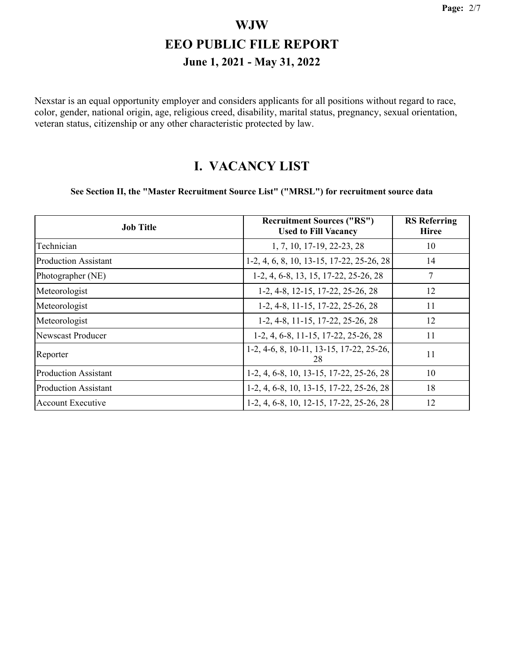Nexstar is an equal opportunity employer and considers applicants for all positions without regard to race, color, gender, national origin, age, religious creed, disability, marital status, pregnancy, sexual orientation, veteran status, citizenship or any other characteristic protected by law.

#### **I. VACANCY LIST**

#### **See Section II, the "Master Recruitment Source List" ("MRSL") for recruitment source data**

| <b>Job Title</b>            | <b>Recruitment Sources ("RS")</b><br><b>Used to Fill Vacancy</b> | <b>RS</b> Referring<br><b>Hiree</b> |
|-----------------------------|------------------------------------------------------------------|-------------------------------------|
| Technician                  | 1, 7, 10, 17-19, 22-23, 28                                       | 10                                  |
| <b>Production Assistant</b> | 1-2, 4, 6, 8, 10, 13-15, 17-22, 25-26, 28                        | 14                                  |
| Photographer (NE)           | 1-2, 4, 6-8, 13, 15, 17-22, 25-26, 28                            | 7                                   |
| Meteorologist               | 1-2, 4-8, 12-15, 17-22, 25-26, 28                                | 12                                  |
| Meteorologist               | 1-2, 4-8, 11-15, 17-22, 25-26, 28                                | 11                                  |
| Meteorologist               | 1-2, 4-8, 11-15, 17-22, 25-26, 28                                | 12                                  |
| <b>Newscast Producer</b>    | 1-2, 4, 6-8, 11-15, 17-22, 25-26, 28                             | 11                                  |
| Reporter                    | 1-2, 4-6, 8, 10-11, 13-15, 17-22, 25-26,<br>28                   | 11                                  |
| <b>Production Assistant</b> | 1-2, 4, 6-8, 10, 13-15, 17-22, 25-26, 28                         | 10                                  |
| <b>Production Assistant</b> | 1-2, 4, 6-8, 10, 13-15, 17-22, 25-26, 28                         | 18                                  |
| <b>Account Executive</b>    | 1-2, 4, 6-8, 10, 12-15, 17-22, 25-26, 28                         | 12                                  |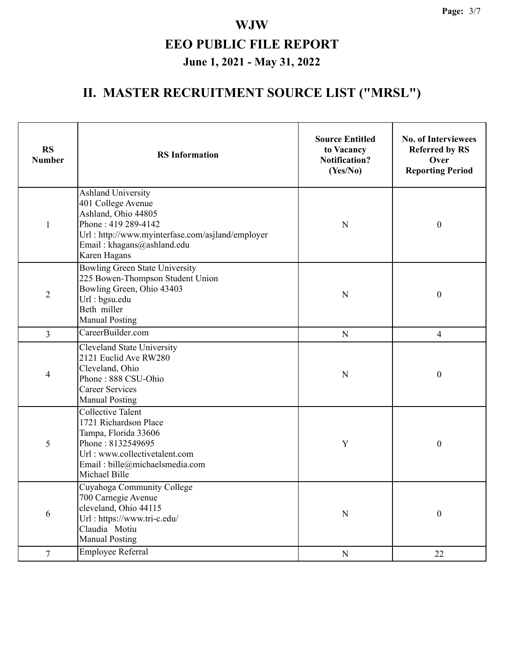# **II. MASTER RECRUITMENT SOURCE LIST ("MRSL")**

| <b>RS</b><br><b>Number</b> | <b>RS</b> Information                                                                                                                                                                    | <b>Source Entitled</b><br>to Vacancy<br><b>Notification?</b><br>(Yes/No) | <b>No. of Interviewees</b><br><b>Referred by RS</b><br>Over<br><b>Reporting Period</b> |
|----------------------------|------------------------------------------------------------------------------------------------------------------------------------------------------------------------------------------|--------------------------------------------------------------------------|----------------------------------------------------------------------------------------|
| $\mathbf{1}$               | Ashland University<br>401 College Avenue<br>Ashland, Ohio 44805<br>Phone: 419 289-4142<br>Url: http://www.myinterfase.com/asjland/employer<br>Email: khagans@ashland.edu<br>Karen Hagans | N                                                                        | $\boldsymbol{0}$                                                                       |
| $\overline{2}$             | Bowling Green State University<br>225 Bowen-Thompson Student Union<br>Bowling Green, Ohio 43403<br>Url: bgsu.edu<br>Beth miller<br><b>Manual Posting</b>                                 | N                                                                        | $\boldsymbol{0}$                                                                       |
| 3                          | CareerBuilder.com                                                                                                                                                                        | $\mathbf N$                                                              | 4                                                                                      |
| 4                          | <b>Cleveland State University</b><br>2121 Euclid Ave RW280<br>Cleveland, Ohio<br>Phone: 888 CSU-Ohio<br><b>Career Services</b><br><b>Manual Posting</b>                                  | N                                                                        | $\boldsymbol{0}$                                                                       |
| 5                          | <b>Collective Talent</b><br>1721 Richardson Place<br>Tampa, Florida 33606<br>Phone: 8132549695<br>Url: www.collectivetalent.com<br>Email: bille@michaelsmedia.com<br>Michael Bille       | Y                                                                        | $\boldsymbol{0}$                                                                       |
| 6                          | Cuyahoga Community College<br>700 Carnegie Avenue<br>cleveland, Ohio 44115<br>Url: https://www.tri-c.edu/<br>Claudia Motiu<br><b>Manual Posting</b>                                      | ${\bf N}$                                                                | $\boldsymbol{0}$                                                                       |
| $\overline{7}$             | Employee Referral                                                                                                                                                                        | ${\bf N}$                                                                | 22                                                                                     |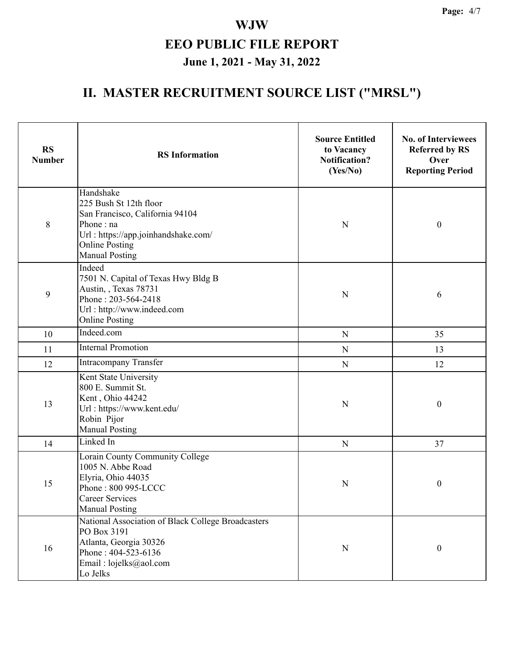# **II. MASTER RECRUITMENT SOURCE LIST ("MRSL")**

| <b>RS</b><br><b>Number</b> | <b>RS</b> Information                                                                                                                                                        | <b>Source Entitled</b><br>to Vacancy<br><b>Notification?</b><br>(Yes/No) | <b>No. of Interviewees</b><br><b>Referred by RS</b><br>Over<br><b>Reporting Period</b> |  |
|----------------------------|------------------------------------------------------------------------------------------------------------------------------------------------------------------------------|--------------------------------------------------------------------------|----------------------------------------------------------------------------------------|--|
| 8                          | Handshake<br>225 Bush St 12th floor<br>San Francisco, California 94104<br>Phone: na<br>Url: https://app.joinhandshake.com/<br><b>Online Posting</b><br><b>Manual Posting</b> | N                                                                        | $\boldsymbol{0}$                                                                       |  |
| 9                          | Indeed<br>7501 N. Capital of Texas Hwy Bldg B<br>Austin, , Texas 78731<br>Phone: 203-564-2418<br>Url: http://www.indeed.com<br><b>Online Posting</b>                         | N                                                                        | 6                                                                                      |  |
| 10                         | Indeed.com                                                                                                                                                                   | ${\bf N}$                                                                | 35                                                                                     |  |
| 11                         | <b>Internal Promotion</b>                                                                                                                                                    | $\mathbf N$                                                              | 13                                                                                     |  |
| 12                         | <b>Intracompany Transfer</b>                                                                                                                                                 | ${\bf N}$                                                                | 12                                                                                     |  |
| 13                         | Kent State University<br>800 E. Summit St.<br>Kent, Ohio 44242<br>Url: https://www.kent.edu/<br>Robin Pijor<br><b>Manual Posting</b>                                         | N                                                                        | $\boldsymbol{0}$                                                                       |  |
| 14                         | Linked In                                                                                                                                                                    | N                                                                        | 37                                                                                     |  |
| 15                         | Lorain County Community College<br>1005 N. Abbe Road<br>Elyria, Ohio 44035<br>Phone: 800 995-LCCC<br><b>Career Services</b><br><b>Manual Posting</b>                         | N                                                                        | $\boldsymbol{0}$                                                                       |  |
| 16                         | National Association of Black College Broadcasters<br>PO Box 3191<br>Atlanta, Georgia 30326<br>Phone: 404-523-6136<br>Email: lojelks@aol.com<br>Lo Jelks                     | N                                                                        | $\boldsymbol{0}$                                                                       |  |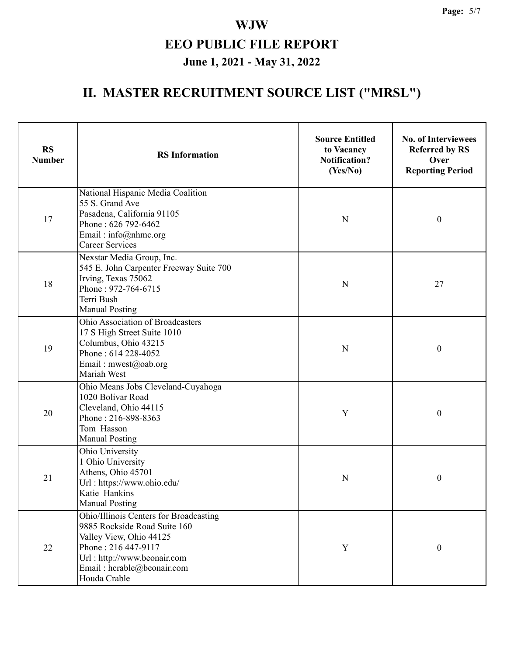# **II. MASTER RECRUITMENT SOURCE LIST ("MRSL")**

| <b>RS</b><br><b>Number</b> | <b>RS</b> Information                                                                                                                                                                                 | <b>Source Entitled</b><br>to Vacancy<br><b>Notification?</b><br>(Yes/No) | <b>No. of Interviewees</b><br><b>Referred by RS</b><br>Over<br><b>Reporting Period</b> |
|----------------------------|-------------------------------------------------------------------------------------------------------------------------------------------------------------------------------------------------------|--------------------------------------------------------------------------|----------------------------------------------------------------------------------------|
| 17                         | National Hispanic Media Coalition<br>55 S. Grand Ave<br>Pasadena, California 91105<br>Phone: 626 792-6462<br>Email: info@nhmc.org<br><b>Career Services</b>                                           | N                                                                        | $\boldsymbol{0}$                                                                       |
| 18                         | Nexstar Media Group, Inc.<br>545 E. John Carpenter Freeway Suite 700<br>Irving, Texas 75062<br>Phone: 972-764-6715<br>Terri Bush<br><b>Manual Posting</b>                                             | N                                                                        | 27                                                                                     |
| 19                         | Ohio Association of Broadcasters<br>17 S High Street Suite 1010<br>Columbus, Ohio 43215<br>Phone: 614 228-4052<br>Email: mwest@oab.org<br>Mariah West                                                 | ${\bf N}$                                                                | $\boldsymbol{0}$                                                                       |
| 20                         | Ohio Means Jobs Cleveland-Cuyahoga<br>1020 Bolivar Road<br>Cleveland, Ohio 44115<br>Phone: 216-898-8363<br>Tom Hasson<br><b>Manual Posting</b>                                                        | Y                                                                        | $\boldsymbol{0}$                                                                       |
| 21                         | Ohio University<br>1 Ohio University<br>Athens, Ohio 45701<br>Url: https://www.ohio.edu/<br>Katie Hankins<br><b>Manual Posting</b>                                                                    | N                                                                        | 0                                                                                      |
| 22                         | Ohio/Illinois Centers for Broadcasting<br>9885 Rockside Road Suite 160<br>Valley View, Ohio 44125<br>Phone: 216 447-9117<br>Url: http://www.beonair.com<br>Email: hcrable@beonair.com<br>Houda Crable | Y                                                                        | $\boldsymbol{0}$                                                                       |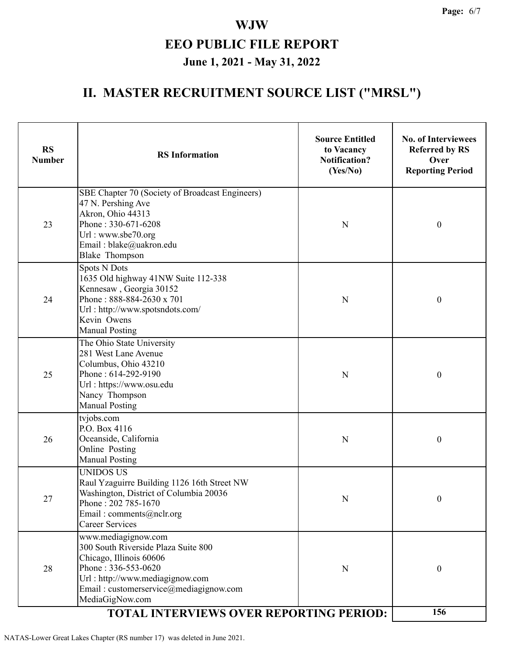#### **II. MASTER RECRUITMENT SOURCE LIST ("MRSL")**

| <b>RS</b><br><b>Number</b> | <b>RS</b> Information                                                                                                                                                                                                                                   | <b>Source Entitled</b><br>to Vacancy<br><b>Notification?</b><br>(Yes/No) | <b>No. of Interviewees</b><br><b>Referred by RS</b><br>Over<br><b>Reporting Period</b> |  |
|----------------------------|---------------------------------------------------------------------------------------------------------------------------------------------------------------------------------------------------------------------------------------------------------|--------------------------------------------------------------------------|----------------------------------------------------------------------------------------|--|
| 23                         | SBE Chapter 70 (Society of Broadcast Engineers)<br>47 N. Pershing Ave<br>Akron, Ohio 44313<br>Phone: 330-671-6208<br>Url: www.sbe70.org<br>Email: blake@uakron.edu<br><b>Blake Thompson</b>                                                             | N                                                                        | $\boldsymbol{0}$                                                                       |  |
| 24                         | <b>Spots N Dots</b><br>1635 Old highway 41NW Suite 112-338<br>Kennesaw, Georgia 30152<br>Phone: 888-884-2630 x 701<br>Url: http://www.spotsndots.com/<br>Kevin Owens<br><b>Manual Posting</b>                                                           | N                                                                        | $\boldsymbol{0}$                                                                       |  |
| 25                         | The Ohio State University<br>281 West Lane Avenue<br>Columbus, Ohio 43210<br>Phone: 614-292-9190<br>Url: https://www.osu.edu<br>Nancy Thompson<br><b>Manual Posting</b>                                                                                 | $\mathbf N$                                                              | $\boldsymbol{0}$                                                                       |  |
| 26                         | tvjobs.com<br>P.O. Box 4116<br>Oceanside, California<br>Online Posting<br><b>Manual Posting</b>                                                                                                                                                         | N                                                                        | $\boldsymbol{0}$                                                                       |  |
| 27                         | <b>UNIDOS US</b><br>Raul Yzaguirre Building 1126 16th Street NW<br>Washington, District of Columbia 20036<br>Phone: 202 785-1670<br>Email: comments@nclr.org<br><b>Career Services</b>                                                                  | N                                                                        | $\boldsymbol{0}$                                                                       |  |
| 28                         | www.mediagignow.com<br>300 South Riverside Plaza Suite 800<br>Chicago, Illinois 60606<br>Phone: 336-553-0620<br>Url: http://www.mediagignow.com<br>Email: customerservice@mediagignow.com<br>MediaGigNow.com<br>TOTAL INTERVIEWS OVER REPORTING PERIOD: | N                                                                        | $\boldsymbol{0}$                                                                       |  |
|                            | 156                                                                                                                                                                                                                                                     |                                                                          |                                                                                        |  |

NATAS-Lower Great Lakes Chapter (RS number 17) was deleted in June 2021.